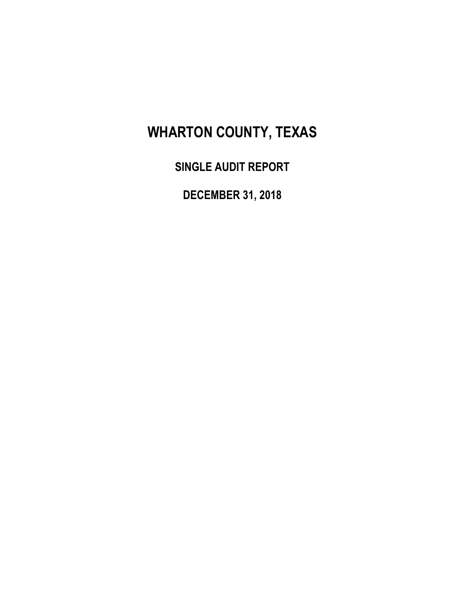**SINGLE AUDIT REPORT**

**DECEMBER 31, 2018**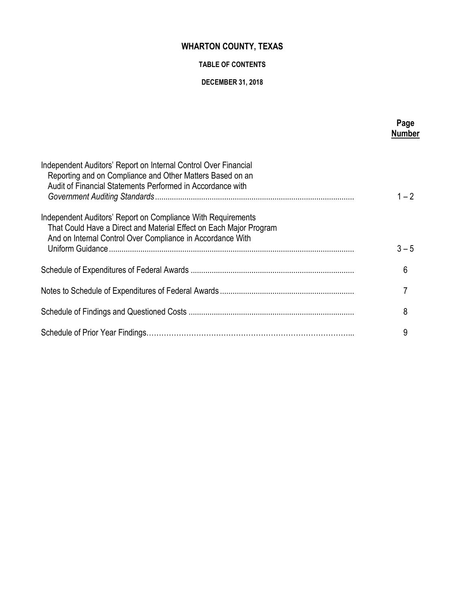## **TABLE OF CONTENTS**

## **DECEMBER 31, 2018**

|                                                                                                                                                                                                  | Page<br>Number |
|--------------------------------------------------------------------------------------------------------------------------------------------------------------------------------------------------|----------------|
| Independent Auditors' Report on Internal Control Over Financial<br>Reporting and on Compliance and Other Matters Based on an<br>Audit of Financial Statements Performed in Accordance with       | $1 - 2$        |
| Independent Auditors' Report on Compliance With Requirements<br>That Could Have a Direct and Material Effect on Each Major Program<br>And on Internal Control Over Compliance in Accordance With | $3 - 5$        |
|                                                                                                                                                                                                  | 6              |
|                                                                                                                                                                                                  |                |
|                                                                                                                                                                                                  | 8              |
|                                                                                                                                                                                                  | 9              |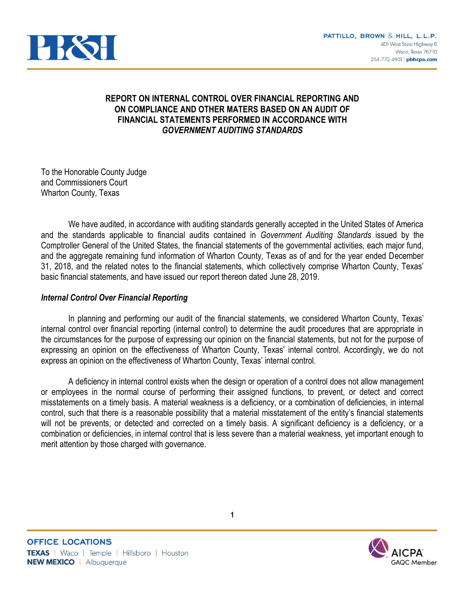

## **REPORT ON INTERNAL CONTROL OVER FINANCIAL REPORTING AND ON COMPLIANCE AND OTHER MATERS BASED ON AN AUDIT OF FINANCIAL STATEMENTS PERFORMED IN ACCORDANCE WITH**  *GOVERNMENT AUDITING STANDARDS*

To the Honorable County Judge and Commissioners Court Wharton County, Texas

We have audited, in accordance with auditing standards generally accepted in the United States of America and the standards applicable to financial audits contained in *Government Auditing Standards* issued by the Comptroller General of the United States, the financial statements of the governmental activities, each major fund, and the aggregate remaining fund information of Wharton County, Texas as of and for the year ended December 31, 2018, and the related notes to the financial statements, which collectively comprise Wharton County, Texas' basic financial statements, and have issued our report thereon dated June 28, 2019.

## *Internal Control Over Financial Reporting*

In planning and performing our audit of the financial statements, we considered Wharton County, Texas' internal control over financial reporting (internal control) to determine the audit procedures that are appropriate in the circumstances for the purpose of expressing our opinion on the financial statements, but not for the purpose of expressing an opinion on the effectiveness of Wharton County, Texas' internal control. Accordingly, we do not express an opinion on the effectiveness of Wharton County, Texas' internal control.

A deficiency in internal control exists when the design or operation of a control does not allow management or employees in the normal course of performing their assigned functions, to prevent, or detect and correct misstatements on a timely basis. A material weakness is a deficiency, or a combination of deficiencies, in internal control, such that there is a reasonable possibility that a material misstatement of the entity's financial statements will not be prevents, or detected and corrected on a timely basis. A significant deficiency is a deficiency, or a combination or deficiencies, in internal control that is less severe than a material weakness, yet important enough to merit attention by those charged with governance.

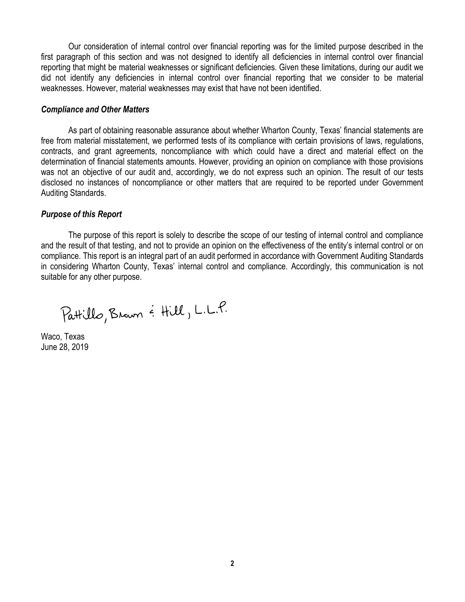Our consideration of internal control over financial reporting was for the limited purpose described in the first paragraph of this section and was not designed to identify all deficiencies in internal control over financial reporting that might be material weaknesses or significant deficiencies. Given these limitations, during our audit we did not identify any deficiencies in internal control over financial reporting that we consider to be material weaknesses. However, material weaknesses may exist that have not been identified.

#### *Compliance and Other Matters*

As part of obtaining reasonable assurance about whether Wharton County, Texas' financial statements are free from material misstatement, we performed tests of its compliance with certain provisions of laws, regulations, contracts, and grant agreements, noncompliance with which could have a direct and material effect on the determination of financial statements amounts. However, providing an opinion on compliance with those provisions was not an objective of our audit and, accordingly, we do not express such an opinion. The result of our tests disclosed no instances of noncompliance or other matters that are required to be reported under Government Auditing Standards.

#### *Purpose of this Report*

The purpose of this report is solely to describe the scope of our testing of internal control and compliance and the result of that testing, and not to provide an opinion on the effectiveness of the entity's internal control or on compliance. This report is an integral part of an audit performed in accordance with Government Auditing Standards in considering Wharton County, Texas' internal control and compliance. Accordingly, this communication is not suitable for any other purpose.

Pattillo, Brown & Hill, L.L.P.

Waco, Texas June 28, 2019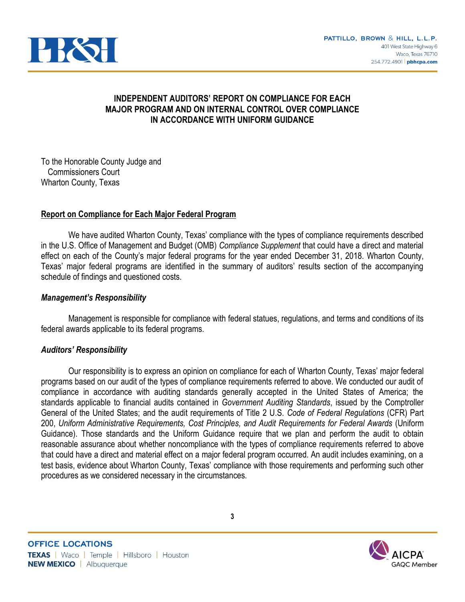

## **INDEPENDENT AUDITORS' REPORT ON COMPLIANCE FOR EACH MAJOR PROGRAM AND ON INTERNAL CONTROL OVER COMPLIANCE IN ACCORDANCE WITH UNIFORM GUIDANCE**

To the Honorable County Judge and Commissioners Court Wharton County, Texas

## **Report on Compliance for Each Major Federal Program**

We have audited Wharton County, Texas' compliance with the types of compliance requirements described in the U.S. Office of Management and Budget (OMB) *Compliance Supplement* that could have a direct and material effect on each of the County's major federal programs for the year ended December 31, 2018. Wharton County, Texas' major federal programs are identified in the summary of auditors' results section of the accompanying schedule of findings and questioned costs.

### *Management's Responsibility*

Management is responsible for compliance with federal statues, regulations, and terms and conditions of its federal awards applicable to its federal programs.

### *Auditors' Responsibility*

Our responsibility is to express an opinion on compliance for each of Wharton County, Texas' major federal programs based on our audit of the types of compliance requirements referred to above. We conducted our audit of compliance in accordance with auditing standards generally accepted in the United States of America; the standards applicable to financial audits contained in *Government Auditing Standards*, issued by the Comptroller General of the United States; and the audit requirements of Title 2 U.S. *Code of Federal Regulations* (CFR) Part 200, *Uniform Administrative Requirements, Cost Principles, and Audit Requirements for Federal Awards* (Uniform Guidance). Those standards and the Uniform Guidance require that we plan and perform the audit to obtain reasonable assurance about whether noncompliance with the types of compliance requirements referred to above that could have a direct and material effect on a major federal program occurred. An audit includes examining, on a test basis, evidence about Wharton County, Texas' compliance with those requirements and performing such other procedures as we considered necessary in the circumstances.



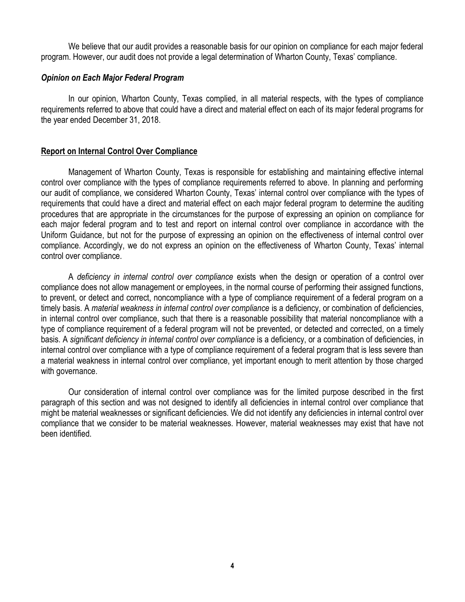We believe that our audit provides a reasonable basis for our opinion on compliance for each major federal program. However, our audit does not provide a legal determination of Wharton County, Texas' compliance.

#### *Opinion on Each Major Federal Program*

In our opinion, Wharton County, Texas complied, in all material respects, with the types of compliance requirements referred to above that could have a direct and material effect on each of its major federal programs for the year ended December 31, 2018.

#### **Report on Internal Control Over Compliance**

Management of Wharton County, Texas is responsible for establishing and maintaining effective internal control over compliance with the types of compliance requirements referred to above. In planning and performing our audit of compliance, we considered Wharton County, Texas' internal control over compliance with the types of requirements that could have a direct and material effect on each major federal program to determine the auditing procedures that are appropriate in the circumstances for the purpose of expressing an opinion on compliance for each major federal program and to test and report on internal control over compliance in accordance with the Uniform Guidance, but not for the purpose of expressing an opinion on the effectiveness of internal control over compliance. Accordingly, we do not express an opinion on the effectiveness of Wharton County, Texas' internal control over compliance.

A *deficiency in internal control over compliance* exists when the design or operation of a control over compliance does not allow management or employees, in the normal course of performing their assigned functions, to prevent, or detect and correct, noncompliance with a type of compliance requirement of a federal program on a timely basis. A *material weakness in internal control over compliance* is a deficiency, or combination of deficiencies, in internal control over compliance, such that there is a reasonable possibility that material noncompliance with a type of compliance requirement of a federal program will not be prevented, or detected and corrected, on a timely basis. A *significant deficiency in internal control over compliance* is a deficiency, or a combination of deficiencies, in internal control over compliance with a type of compliance requirement of a federal program that is less severe than a material weakness in internal control over compliance, yet important enough to merit attention by those charged with governance.

Our consideration of internal control over compliance was for the limited purpose described in the first paragraph of this section and was not designed to identify all deficiencies in internal control over compliance that might be material weaknesses or significant deficiencies. We did not identify any deficiencies in internal control over compliance that we consider to be material weaknesses. However, material weaknesses may exist that have not been identified.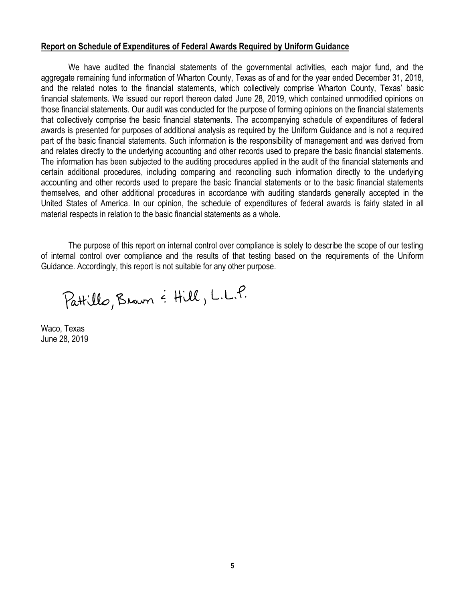#### **Report on Schedule of Expenditures of Federal Awards Required by Uniform Guidance**

We have audited the financial statements of the governmental activities, each major fund, and the aggregate remaining fund information of Wharton County, Texas as of and for the year ended December 31, 2018, and the related notes to the financial statements, which collectively comprise Wharton County, Texas' basic financial statements. We issued our report thereon dated June 28, 2019, which contained unmodified opinions on those financial statements. Our audit was conducted for the purpose of forming opinions on the financial statements that collectively comprise the basic financial statements. The accompanying schedule of expenditures of federal awards is presented for purposes of additional analysis as required by the Uniform Guidance and is not a required part of the basic financial statements. Such information is the responsibility of management and was derived from and relates directly to the underlying accounting and other records used to prepare the basic financial statements. The information has been subjected to the auditing procedures applied in the audit of the financial statements and certain additional procedures, including comparing and reconciling such information directly to the underlying accounting and other records used to prepare the basic financial statements or to the basic financial statements themselves, and other additional procedures in accordance with auditing standards generally accepted in the United States of America. In our opinion, the schedule of expenditures of federal awards is fairly stated in all material respects in relation to the basic financial statements as a whole.

The purpose of this report on internal control over compliance is solely to describe the scope of our testing of internal control over compliance and the results of that testing based on the requirements of the Uniform Guidance. Accordingly, this report is not suitable for any other purpose.

Pattillo, Brown & Hill, L.L.P.

Waco, Texas June 28, 2019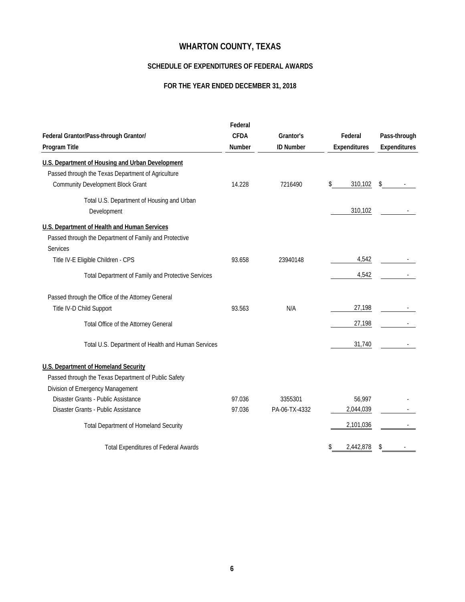## **SCHEDULE OF EXPENDITURES OF FEDERAL AWARDS**

## **FOR THE YEAR ENDED DECEMBER 31, 2018**

|                                                        | Federal                      |                               | Federal<br>Expenditures | Pass-through<br>Expenditures |
|--------------------------------------------------------|------------------------------|-------------------------------|-------------------------|------------------------------|
| Federal Grantor/Pass-through Grantor/<br>Program Title | <b>CFDA</b><br><b>Number</b> | Grantor's<br><b>ID Number</b> |                         |                              |
|                                                        |                              |                               |                         |                              |
| Passed through the Texas Department of Agriculture     |                              |                               |                         |                              |
| <b>Community Development Block Grant</b>               | 14.228                       | 7216490                       | \$<br>310,102           | \$                           |
| Total U.S. Department of Housing and Urban             |                              |                               |                         |                              |
| Development                                            |                              |                               | 310,102                 |                              |
| U.S. Department of Health and Human Services           |                              |                               |                         |                              |
| Passed through the Department of Family and Protective |                              |                               |                         |                              |
| Services                                               |                              |                               |                         |                              |
| Title IV-E Eligible Children - CPS                     | 93.658                       | 23940148                      | 4,542                   |                              |
| Total Department of Family and Protective Services     |                              |                               | 4,542                   |                              |
| Passed through the Office of the Attorney General      |                              |                               |                         |                              |
| Title IV-D Child Support                               | 93.563                       | N/A                           | 27,198                  |                              |
| Total Office of the Attorney General                   |                              |                               | 27,198                  |                              |
| Total U.S. Department of Health and Human Services     |                              |                               | 31,740                  |                              |
| <b>U.S. Department of Homeland Security</b>            |                              |                               |                         |                              |
| Passed through the Texas Department of Public Safety   |                              |                               |                         |                              |
| Division of Emergency Management                       |                              |                               |                         |                              |
| Disaster Grants - Public Assistance                    | 97.036                       | 3355301                       | 56,997                  |                              |
| Disaster Grants - Public Assistance                    | 97.036                       | PA-06-TX-4332                 | 2,044,039               |                              |
| <b>Total Department of Homeland Security</b>           |                              |                               | 2,101,036               |                              |
| <b>Total Expenditures of Federal Awards</b>            |                              |                               | 2,442,878<br>\$         | \$                           |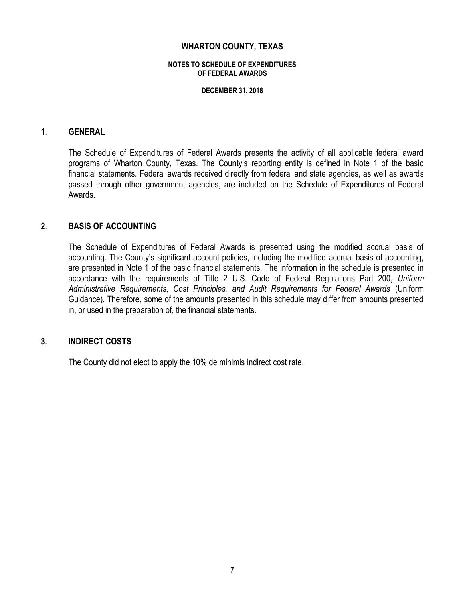#### **NOTES TO SCHEDULE OF EXPENDITURES OF FEDERAL AWARDS**

#### **DECEMBER 31, 2018**

#### **1. GENERAL**

The Schedule of Expenditures of Federal Awards presents the activity of all applicable federal award programs of Wharton County, Texas. The County's reporting entity is defined in Note 1 of the basic financial statements. Federal awards received directly from federal and state agencies, as well as awards passed through other government agencies, are included on the Schedule of Expenditures of Federal Awards.

## **2. BASIS OF ACCOUNTING**

The Schedule of Expenditures of Federal Awards is presented using the modified accrual basis of accounting. The County's significant account policies, including the modified accrual basis of accounting, are presented in Note 1 of the basic financial statements. The information in the schedule is presented in accordance with the requirements of Title 2 U.S. Code of Federal Regulations Part 200, *Uniform Administrative Requirements, Cost Principles, and Audit Requirements for Federal Awards* (Uniform Guidance)*.* Therefore, some of the amounts presented in this schedule may differ from amounts presented in, or used in the preparation of, the financial statements.

### **3. INDIRECT COSTS**

The County did not elect to apply the 10% de minimis indirect cost rate.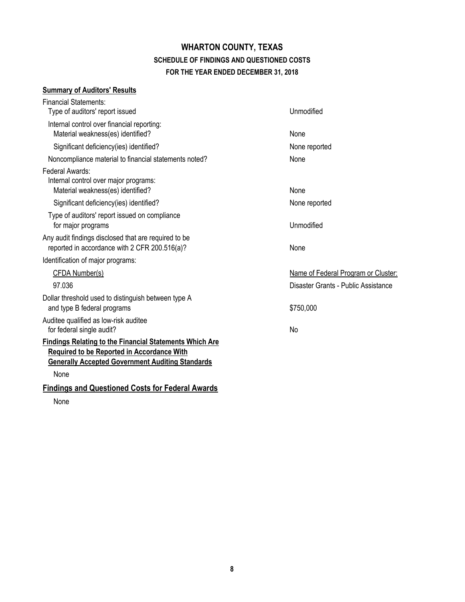# **FOR THE YEAR ENDED DECEMBER 31, 2018 WHARTON COUNTY, TEXAS SCHEDULE OF FINDINGS AND QUESTIONED COSTS**

## **Summary of Auditors' Results**

| <b>Financial Statements:</b><br>Type of auditors' report issued                                                     | Unmodified                          |
|---------------------------------------------------------------------------------------------------------------------|-------------------------------------|
| Internal control over financial reporting:<br>Material weakness(es) identified?                                     | None                                |
| Significant deficiency(ies) identified?                                                                             | None reported                       |
| Noncompliance material to financial statements noted?                                                               | None                                |
| Federal Awards:<br>Internal control over major programs:<br>Material weakness(es) identified?                       | None                                |
| Significant deficiency(ies) identified?                                                                             | None reported                       |
| Type of auditors' report issued on compliance<br>for major programs                                                 | Unmodified                          |
| Any audit findings disclosed that are required to be<br>reported in accordance with 2 CFR 200.516(a)?               | None                                |
| Identification of major programs:                                                                                   |                                     |
| CFDA Number(s)                                                                                                      | Name of Federal Program or Cluster: |
| 97.036                                                                                                              | Disaster Grants - Public Assistance |
| Dollar threshold used to distinguish between type A<br>and type B federal programs                                  | \$750,000                           |
| Auditee qualified as low-risk auditee<br>for federal single audit?                                                  | No                                  |
| <b>Findings Relating to the Financial Statements Which Are</b><br><b>Required to be Reported in Accordance With</b> |                                     |
| <b>Generally Accepted Government Auditing Standards</b><br>None                                                     |                                     |
|                                                                                                                     |                                     |
| <b>Findings and Questioned Costs for Federal Awards</b>                                                             |                                     |

None

**8**